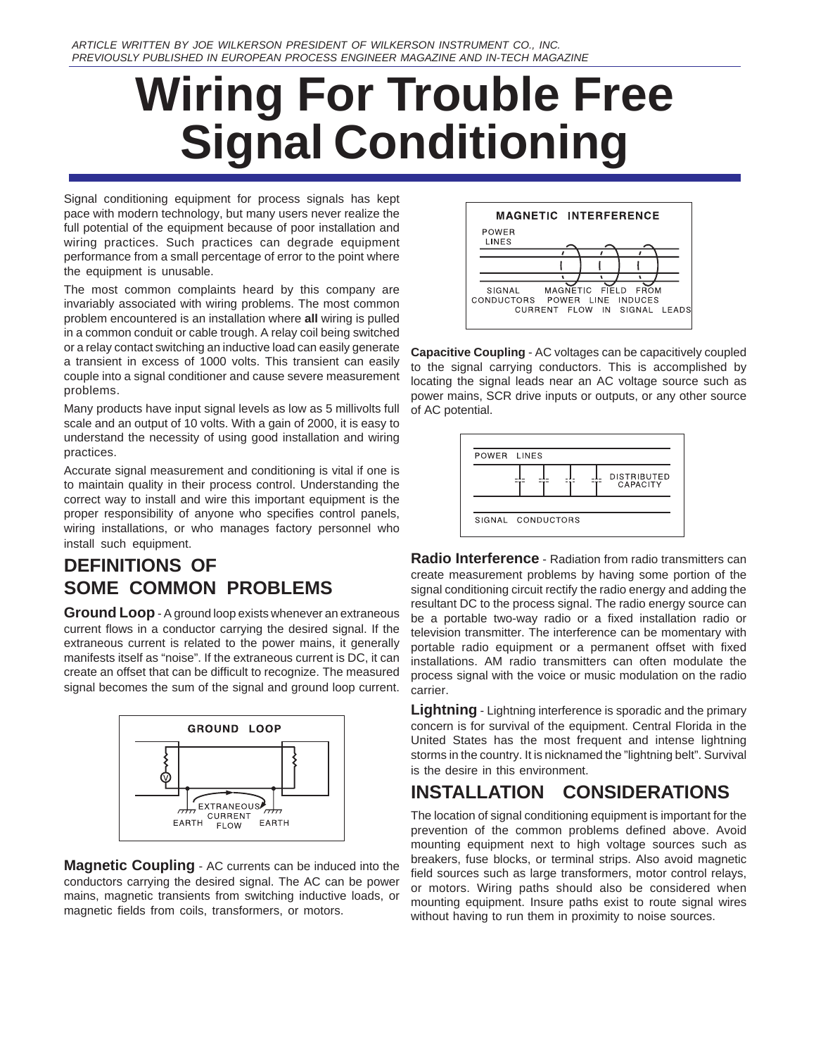# **Wiring For Trouble Free Signal Conditioning**

Signal conditioning equipment for process signals has kept pace with modern technology, but many users never realize the full potential of the equipment because of poor installation and wiring practices. Such practices can degrade equipment performance from a small percentage of error to the point where the equipment is unusable.

The most common complaints heard by this company are invariably associated with wiring problems. The most common problem encountered is an installation where **all** wiring is pulled in a common conduit or cable trough. A relay coil being switched or a relay contact switching an inductive load can easily generate a transient in excess of 1000 volts. This transient can easily couple into a signal conditioner and cause severe measurement problems.

Many products have input signal levels as low as 5 millivolts full scale and an output of 10 volts. With a gain of 2000, it is easy to understand the necessity of using good installation and wiring practices.

Accurate signal measurement and conditioning is vital if one is to maintain quality in their process control. Understanding the correct way to install and wire this important equipment is the proper responsibility of anyone who specifies control panels, wiring installations, or who manages factory personnel who install such equipment.

# **DEFINITIONS OF SOME COMMON PROBLEMS**

**Ground Loop** - A ground loop exists whenever an extraneous current flows in a conductor carrying the desired signal. If the extraneous current is related to the power mains, it generally manifests itself as "noise". If the extraneous current is DC, it can create an offset that can be difficult to recognize. The measured signal becomes the sum of the signal and ground loop current.



**Magnetic Coupling** - AC currents can be induced into the conductors carrying the desired signal. The AC can be power mains, magnetic transients from switching inductive loads, or magnetic fields from coils, transformers, or motors.



**Capacitive Coupling** - AC voltages can be capacitively coupled to the signal carrying conductors. This is accomplished by locating the signal leads near an AC voltage source such as power mains, SCR drive inputs or outputs, or any other source of AC potential.



**Radio Interference** - Radiation from radio transmitters can create measurement problems by having some portion of the signal conditioning circuit rectify the radio energy and adding the resultant DC to the process signal. The radio energy source can be a portable two-way radio or a fixed installation radio or television transmitter. The interference can be momentary with portable radio equipment or a permanent offset with fixed installations. AM radio transmitters can often modulate the process signal with the voice or music modulation on the radio carrier.

**Lightning** - Lightning interference is sporadic and the primary concern is for survival of the equipment. Central Florida in the United States has the most frequent and intense lightning storms in the country. It is nicknamed the "lightning belt". Survival is the desire in this environment.

# **INSTALLATION CONSIDERATIONS**

The location of signal conditioning equipment is important for the prevention of the common problems defined above. Avoid mounting equipment next to high voltage sources such as breakers, fuse blocks, or terminal strips. Also avoid magnetic field sources such as large transformers, motor control relays, or motors. Wiring paths should also be considered when mounting equipment. Insure paths exist to route signal wires without having to run them in proximity to noise sources.